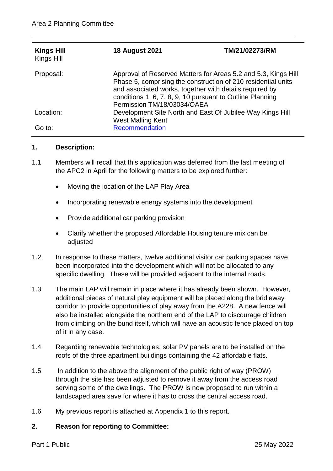| <b>Kings Hill</b><br>Kings Hill | <b>18 August 2021</b>                                                                                                                                                                                                                                                                  | TM/21/02273/RM |
|---------------------------------|----------------------------------------------------------------------------------------------------------------------------------------------------------------------------------------------------------------------------------------------------------------------------------------|----------------|
| Proposal:                       | Approval of Reserved Matters for Areas 5.2 and 5.3, Kings Hill<br>Phase 5, comprising the construction of 210 residential units<br>and associated works, together with details required by<br>conditions 1, 6, 7, 8, 9, 10 pursuant to Outline Planning<br>Permission TM/18/03034/OAEA |                |
| Location:                       | Development Site North and East Of Jubilee Way Kings Hill<br>West Malling Kent                                                                                                                                                                                                         |                |
| Go to:                          | Recommendation                                                                                                                                                                                                                                                                         |                |

#### **1. Description:**

- 1.1 Members will recall that this application was deferred from the last meeting of the APC2 in April for the following matters to be explored further:
	- Moving the location of the LAP Play Area
	- Incorporating renewable energy systems into the development
	- Provide additional car parking provision
	- Clarify whether the proposed Affordable Housing tenure mix can be adiusted
- 1.2 In response to these matters, twelve additional visitor car parking spaces have been incorporated into the development which will not be allocated to any specific dwelling. These will be provided adjacent to the internal roads.
- 1.3 The main LAP will remain in place where it has already been shown. However, additional pieces of natural play equipment will be placed along the bridleway corridor to provide opportunities of play away from the A228. A new fence will also be installed alongside the northern end of the LAP to discourage children from climbing on the bund itself, which will have an acoustic fence placed on top of it in any case.
- 1.4 Regarding renewable technologies, solar PV panels are to be installed on the roofs of the three apartment buildings containing the 42 affordable flats.
- 1.5 In addition to the above the alignment of the public right of way (PROW) through the site has been adjusted to remove it away from the access road serving some of the dwellings. The PROW is now proposed to run within a landscaped area save for where it has to cross the central access road.
- 1.6 My previous report is attached at Appendix 1 to this report.

## **2. Reason for reporting to Committee:**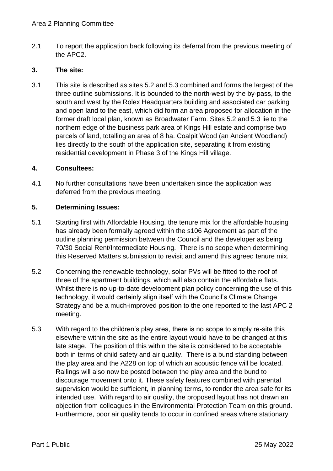2.1 To report the application back following its deferral from the previous meeting of the APC2.

## **3. The site:**

3.1 This site is described as sites 5.2 and 5.3 combined and forms the largest of the three outline submissions. It is bounded to the north-west by the by-pass, to the south and west by the Rolex Headquarters building and associated car parking and open land to the east, which did form an area proposed for allocation in the former draft local plan, known as Broadwater Farm. Sites 5.2 and 5.3 lie to the northern edge of the business park area of Kings Hill estate and comprise two parcels of land, totalling an area of 8 ha. Coalpit Wood (an Ancient Woodland) lies directly to the south of the application site, separating it from existing residential development in Phase 3 of the Kings Hill village.

#### **4. Consultees:**

4.1 No further consultations have been undertaken since the application was deferred from the previous meeting.

## **5. Determining Issues:**

- 5.1 Starting first with Affordable Housing, the tenure mix for the affordable housing has already been formally agreed within the s106 Agreement as part of the outline planning permission between the Council and the developer as being 70/30 Social Rent/Intermediate Housing. There is no scope when determining this Reserved Matters submission to revisit and amend this agreed tenure mix.
- 5.2 Concerning the renewable technology, solar PVs will be fitted to the roof of three of the apartment buildings, which will also contain the affordable flats. Whilst there is no up-to-date development plan policy concerning the use of this technology, it would certainly align itself with the Council's Climate Change Strategy and be a much-improved position to the one reported to the last APC 2 meeting.
- 5.3 With regard to the children's play area, there is no scope to simply re-site this elsewhere within the site as the entire layout would have to be changed at this late stage. The position of this within the site is considered to be acceptable both in terms of child safety and air quality. There is a bund standing between the play area and the A228 on top of which an acoustic fence will be located. Railings will also now be posted between the play area and the bund to discourage movement onto it. These safety features combined with parental supervision would be sufficient, in planning terms, to render the area safe for its intended use. With regard to air quality, the proposed layout has not drawn an objection from colleagues in the Environmental Protection Team on this ground. Furthermore, poor air quality tends to occur in confined areas where stationary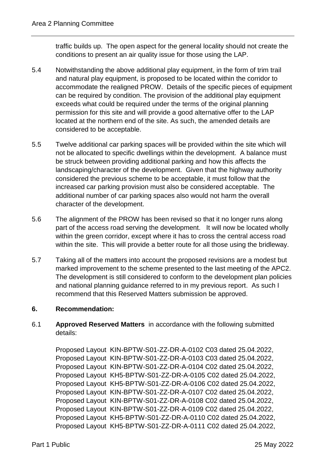traffic builds up. The open aspect for the general locality should not create the conditions to present an air quality issue for those using the LAP.

- 5.4 Notwithstanding the above additional play equipment, in the form of trim trail and natural play equipment, is proposed to be located within the corridor to accommodate the realigned PROW. Details of the specific pieces of equipment can be required by condition. The provision of the additional play equipment exceeds what could be required under the terms of the original planning permission for this site and will provide a good alternative offer to the LAP located at the northern end of the site. As such, the amended details are considered to be acceptable.
- 5.5 Twelve additional car parking spaces will be provided within the site which will not be allocated to specific dwellings within the development. A balance must be struck between providing additional parking and how this affects the landscaping/character of the development. Given that the highway authority considered the previous scheme to be acceptable, it must follow that the increased car parking provision must also be considered acceptable. The additional number of car parking spaces also would not harm the overall character of the development.
- 5.6 The alignment of the PROW has been revised so that it no longer runs along part of the access road serving the development. It will now be located wholly within the green corridor, except where it has to cross the central access road within the site. This will provide a better route for all those using the bridleway.
- 5.7 Taking all of the matters into account the proposed revisions are a modest but marked improvement to the scheme presented to the last meeting of the APC2. The development is still considered to conform to the development plan policies and national planning guidance referred to in my previous report. As such I recommend that this Reserved Matters submission be approved.

# <span id="page-2-0"></span>**6. Recommendation:**

6.1 **Approved Reserved Matters** in accordance with the following submitted details:

Proposed Layout KIN-BPTW-S01-ZZ-DR-A-0102 C03 dated 25.04.2022, Proposed Layout KIN-BPTW-S01-ZZ-DR-A-0103 C03 dated 25.04.2022, Proposed Layout KIN-BPTW-S01-ZZ-DR-A-0104 C02 dated 25.04.2022, Proposed Layout KH5-BPTW-S01-ZZ-DR-A-0105 C02 dated 25.04.2022, Proposed Layout KH5-BPTW-S01-ZZ-DR-A-0106 C02 dated 25.04.2022, Proposed Layout KIN-BPTW-S01-ZZ-DR-A-0107 C02 dated 25.04.2022, Proposed Layout KIN-BPTW-S01-ZZ-DR-A-0108 C02 dated 25.04.2022, Proposed Layout KIN-BPTW-S01-ZZ-DR-A-0109 C02 dated 25.04.2022, Proposed Layout KH5-BPTW-S01-ZZ-DR-A-0110 C02 dated 25.04.2022, Proposed Layout KH5-BPTW-S01-ZZ-DR-A-0111 C02 dated 25.04.2022,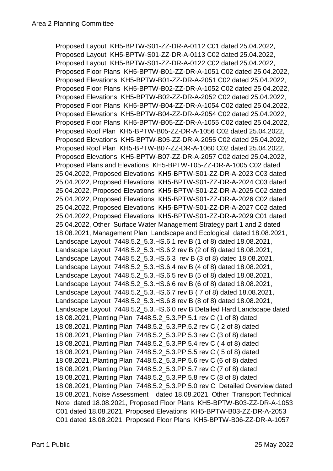Proposed Layout KH5-BPTW-S01-ZZ-DR-A-0112 C01 dated 25.04.2022, Proposed Layout KH5-BPTW-S01-ZZ-DR-A-0113 C02 dated 25.04.2022, Proposed Layout KH5-BPTW-S01-ZZ-DR-A-0122 C02 dated 25.04.2022, Proposed Floor Plans KH5-BPTW-B01-ZZ-DR-A-1051 C02 dated 25.04.2022, Proposed Elevations KH5-BPTW-B01-ZZ-DR-A-2051 C02 dated 25.04.2022, Proposed Floor Plans KH5-BPTW-B02-ZZ-DR-A-1052 C02 dated 25.04.2022, Proposed Elevations KH5-BPTW-B02-ZZ-DR-A-2052 C02 dated 25.04.2022, Proposed Floor Plans KH5-BPTW-B04-ZZ-DR-A-1054 C02 dated 25.04.2022, Proposed Elevations KH5-BPTW-B04-ZZ-DR-A-2054 C02 dated 25.04.2022, Proposed Floor Plans KH5-BPTW-B05-ZZ-DR-A-1055 C02 dated 25.04.2022, Proposed Roof Plan KH5-BPTW-B05-ZZ-DR-A-1056 C02 dated 25.04.2022, Proposed Elevations KH5-BPTW-B05-ZZ-DR-A-2055 C02 dated 25.04.2022, Proposed Roof Plan KH5-BPTW-B07-ZZ-DR-A-1060 C02 dated 25.04.2022, Proposed Elevations KH5-BPTW-B07-ZZ-DR-A-2057 C02 dated 25.04.2022, Proposed Plans and Elevations KH5-BPTW-T05-ZZ-DR-A-1005 C02 dated 25.04.2022, Proposed Elevations KH5-BPTW-S01-ZZ-DR-A-2023 C03 dated 25.04.2022, Proposed Elevations KH5-BPTW-S01-ZZ-DR-A-2024 C03 dated 25.04.2022, Proposed Elevations KH5-BPTW-S01-ZZ-DR-A-2025 C02 dated 25.04.2022, Proposed Elevations KH5-BPTW-S01-ZZ-DR-A-2026 C02 dated 25.04.2022, Proposed Elevations KH5-BPTW-S01-ZZ-DR-A-2027 C02 dated 25.04.2022, Proposed Elevations KH5-BPTW-S01-ZZ-DR-A-2029 C01 dated 25.04.2022, Other Surface Water Management Strategy part 1 and 2 dated 18.08.2021, Management Plan Landscape and Ecological dated 18.08.2021, Landscape Layout 7448.5.2\_5.3.HS.6.1 rev B (1 of 8) dated 18.08.2021, Landscape Layout 7448.5.2\_5.3.HS.6.2 rev B (2 of 8) dated 18.08.2021, Landscape Layout 7448.5.2\_5.3.HS.6.3 rev B (3 of 8) dated 18.08.2021, Landscape Layout 7448.5.2\_5.3.HS.6.4 rev B (4 of 8) dated 18.08.2021, Landscape Layout 7448.5.2\_5.3.HS.6.5 rev B (5 of 8) dated 18.08.2021, Landscape Layout 7448.5.2\_5.3.HS.6.6 rev B (6 of 8) dated 18.08.2021, Landscape Layout 7448.5.2\_5.3.HS.6.7 rev B ( 7 of 8) dated 18.08.2021, Landscape Layout 7448.5.2\_5.3.HS.6.8 rev B (8 of 8) dated 18.08.2021, Landscape Layout 7448.5.2\_5.3.HS.6.0 rev B Detailed Hard Landscape dated 18.08.2021, Planting Plan 7448.5.2\_5.3.PP.5.1 rev C (1 of 8) dated 18.08.2021, Planting Plan 7448.5.2\_5.3.PP.5.2 rev C ( 2 of 8) dated 18.08.2021, Planting Plan 7448.5.2\_5.3.PP.5.3 rev C (3 of 8) dated 18.08.2021, Planting Plan 7448.5.2\_5.3.PP.5.4 rev C ( 4 of 8) dated 18.08.2021, Planting Plan 7448.5.2\_5.3.PP.5.5 rev C ( 5 of 8) dated 18.08.2021, Planting Plan 7448.5.2\_5.3.PP.5.6 rev C (6 of 8) dated 18.08.2021, Planting Plan 7448.5.2\_5.3.PP.5.7 rev C (7 of 8) dated 18.08.2021, Planting Plan 7448.5.2\_5.3.PP.5.8 rev C (8 of 8) dated 18.08.2021, Planting Plan 7448.5.2\_5.3.PP.5.0 rev C Detailed Overview dated 18.08.2021, Noise Assessment dated 18.08.2021, Other Transport Technical Note dated 18.08.2021, Proposed Floor Plans KH5-BPTW-B03-ZZ-DR-A-1053 C01 dated 18.08.2021, Proposed Elevations KH5-BPTW-B03-ZZ-DR-A-2053 C01 dated 18.08.2021, Proposed Floor Plans KH5-BPTW-B06-ZZ-DR-A-1057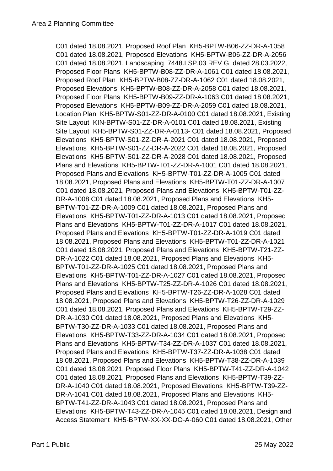C01 dated 18.08.2021, Proposed Roof Plan KH5-BPTW-B06-ZZ-DR-A-1058 C01 dated 18.08.2021, Proposed Elevations KH5-BPTW-B06-ZZ-DR-A-2056 C01 dated 18.08.2021, Landscaping 7448.LSP.03 REV G dated 28.03.2022, Proposed Floor Plans KH5-BPTW-B08-ZZ-DR-A-1061 C01 dated 18.08.2021, Proposed Roof Plan KH5-BPTW-B08-ZZ-DR-A-1062 C01 dated 18.08.2021, Proposed Elevations KH5-BPTW-B08-ZZ-DR-A-2058 C01 dated 18.08.2021, Proposed Floor Plans KH5-BPTW-B09-ZZ-DR-A-1063 C01 dated 18.08.2021, Proposed Elevations KH5-BPTW-B09-ZZ-DR-A-2059 C01 dated 18.08.2021, Location Plan KH5-BPTW-S01-ZZ-DR-A-0100 C01 dated 18.08.2021, Existing Site Layout KIN-BPTW-S01-ZZ-DR-A-0101 C01 dated 18.08.2021, Existing Site Layout KH5-BPTW-S01-ZZ-DR-A-0113- C01 dated 18.08.2021, Proposed Elevations KH5-BPTW-S01-ZZ-DR-A-2021 C01 dated 18.08.2021, Proposed Elevations KH5-BPTW-S01-ZZ-DR-A-2022 C01 dated 18.08.2021, Proposed Elevations KH5-BPTW-S01-ZZ-DR-A-2028 C01 dated 18.08.2021, Proposed Plans and Elevations KH5-BPTW-T01-ZZ-DR-A-1001 C01 dated 18.08.2021, Proposed Plans and Elevations KH5-BPTW-T01-ZZ-DR-A-1005 C01 dated 18.08.2021, Proposed Plans and Elevations KH5-BPTW-T01-ZZ-DR-A-1007 C01 dated 18.08.2021, Proposed Plans and Elevations KH5-BPTW-T01-ZZ-DR-A-1008 C01 dated 18.08.2021, Proposed Plans and Elevations KH5- BPTW-T01-ZZ-DR-A-1009 C01 dated 18.08.2021, Proposed Plans and Elevations KH5-BPTW-T01-ZZ-DR-A-1013 C01 dated 18.08.2021, Proposed Plans and Elevations KH5-BPTW-T01-ZZ-DR-A-1017 C01 dated 18.08.2021, Proposed Plans and Elevations KH5-BPTW-T01-ZZ-DR-A-1019 C01 dated 18.08.2021, Proposed Plans and Elevations KH5-BPTW-T01-ZZ-DR-A-1021 C01 dated 18.08.2021, Proposed Plans and Elevations KH5-BPTW-T21-ZZ-DR-A-1022 C01 dated 18.08.2021, Proposed Plans and Elevations KH5- BPTW-T01-ZZ-DR-A-1025 C01 dated 18.08.2021, Proposed Plans and Elevations KH5-BPTW-T01-ZZ-DR-A-1027 C01 dated 18.08.2021, Proposed Plans and Elevations KH5-BPTW-T25-ZZ-DR-A-1026 C01 dated 18.08.2021, Proposed Plans and Elevations KH5-BPTW-T26-ZZ-DR-A-1028 C01 dated 18.08.2021, Proposed Plans and Elevations KH5-BPTW-T26-ZZ-DR-A-1029 C01 dated 18.08.2021, Proposed Plans and Elevations KH5-BPTW-T29-ZZ-DR-A-1030 C01 dated 18.08.2021, Proposed Plans and Elevations KH5- BPTW-T30-ZZ-DR-A-1033 C01 dated 18.08.2021, Proposed Plans and Elevations KH5-BPTW-T33-ZZ-DR-A-1034 C01 dated 18.08.2021, Proposed Plans and Elevations KH5-BPTW-T34-ZZ-DR-A-1037 C01 dated 18.08.2021, Proposed Plans and Elevations KH5-BPTW-T37-ZZ-DR-A-1038 C01 dated 18.08.2021, Proposed Plans and Elevations KH5-BPTW-T38-ZZ-DR-A-1039 C01 dated 18.08.2021, Proposed Floor Plans KH5-BPTW-T41-ZZ-DR-A-1042 C01 dated 18.08.2021, Proposed Plans and Elevations KH5-BPTW-T39-ZZ-DR-A-1040 C01 dated 18.08.2021, Proposed Elevations KH5-BPTW-T39-ZZ-DR-A-1041 C01 dated 18.08.2021, Proposed Plans and Elevations KH5- BPTW-T41-ZZ-DR-A-1043 C01 dated 18.08.2021, Proposed Plans and Elevations KH5-BPTW-T43-ZZ-DR-A-1045 C01 dated 18.08.2021, Design and Access Statement KH5-BPTW-XX-XX-DO-A-060 C01 dated 18.08.2021, Other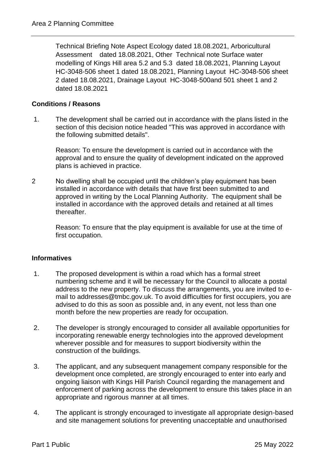Technical Briefing Note Aspect Ecology dated 18.08.2021, Arboricultural Assessment dated 18.08.2021, Other Technical note Surface water modelling of Kings Hill area 5.2 and 5.3 dated 18.08.2021, Planning Layout HC-3048-506 sheet 1 dated 18.08.2021, Planning Layout HC-3048-506 sheet 2 dated 18.08.2021, Drainage Layout HC-3048-500and 501 sheet 1 and 2 dated 18.08.2021

## **Conditions / Reasons**

1. The development shall be carried out in accordance with the plans listed in the section of this decision notice headed "This was approved in accordance with the following submitted details".

Reason: To ensure the development is carried out in accordance with the approval and to ensure the quality of development indicated on the approved plans is achieved in practice.

2 No dwelling shall be occupied until the children's play equipment has been installed in accordance with details that have first been submitted to and approved in writing by the Local Planning Authority. The equipment shall be installed in accordance with the approved details and retained at all times thereafter.

Reason: To ensure that the play equipment is available for use at the time of first occupation.

#### **Informatives**

- 1. The proposed development is within a road which has a formal street numbering scheme and it will be necessary for the Council to allocate a postal address to the new property. To discuss the arrangements, you are invited to email to addresses@tmbc.gov.uk. To avoid difficulties for first occupiers, you are advised to do this as soon as possible and, in any event, not less than one month before the new properties are ready for occupation.
- 2. The developer is strongly encouraged to consider all available opportunities for incorporating renewable energy technologies into the approved development wherever possible and for measures to support biodiversity within the construction of the buildings.
- 3. The applicant, and any subsequent management company responsible for the development once completed, are strongly encouraged to enter into early and ongoing liaison with Kings Hill Parish Council regarding the management and enforcement of parking across the development to ensure this takes place in an appropriate and rigorous manner at all times.
- 4. The applicant is strongly encouraged to investigate all appropriate design-based and site management solutions for preventing unacceptable and unauthorised